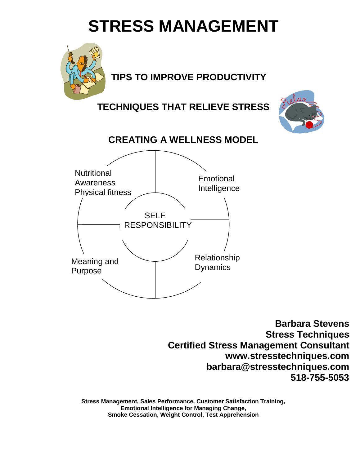# **STRESS MANAGEMENT**



# **TIPS TO IMPROVE PRODUCTIVITY**

**TECHNIQUES THAT RELIEVE STRESS**





**Barbara Stevens Stress Techniques Certified Stress Management Consultant www.stresstechniques.com barbara@stresstechniques.com 518-755-5053**

**Stress Management, Sales Performance, Customer Satisfaction Training, Emotional Intelligence for Managing Change, Smoke Cessation, Weight Control, Test Apprehension**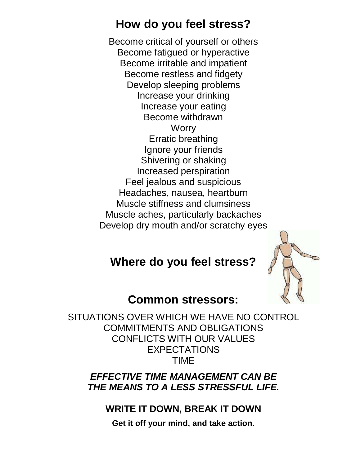# **How do you feel stress?**

Become critical of yourself or others Become fatigued or hyperactive Become irritable and impatient Become restless and fidgety Develop sleeping problems Increase your drinking Increase your eating Become withdrawn **Worry** Erratic breathing Ignore your friends Shivering or shaking Increased perspiration Feel jealous and suspicious Headaches, nausea, heartburn Muscle stiffness and clumsiness Muscle aches, particularly backaches Develop dry mouth and/or scratchy eyes

# **Where do you feel stress?**



## **Common stressors:**

SITUATIONS OVER WHICH WE HAVE NO CONTROL COMMITMENTS AND OBLIGATIONS CONFLICTS WITH OUR VALUES EXPECTATIONS TIME

### *EFFECTIVE TIME MANAGEMENT CAN BE THE MEANS TO A LESS STRESSFUL LIFE.*

#### **WRITE IT DOWN, BREAK IT DOWN**

**Get it off your mind, and take action.**